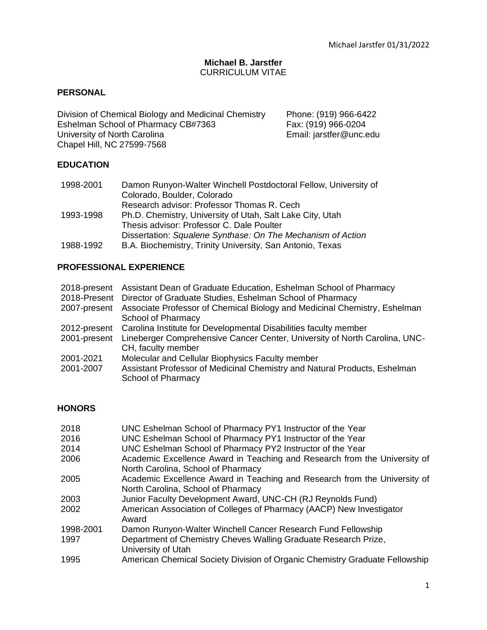## **Michael B. Jarstfer** CURRICULUM VITAE

# **PERSONAL**

Division of Chemical Biology and Medicinal Chemistry Phone: (919) 966-6422 Eshelman School of Pharmacy CB#7363<br>
University of North Carolina<br>
Email: jarstfer@unc.edu University of North Carolina Chapel Hill, NC 27599-7568

## **EDUCATION**

| 1998-2001 | Damon Runyon-Walter Winchell Postdoctoral Fellow, University of |
|-----------|-----------------------------------------------------------------|
|           | Colorado, Boulder, Colorado                                     |
|           | Research advisor: Professor Thomas R. Cech                      |
| 1993-1998 | Ph.D. Chemistry, University of Utah, Salt Lake City, Utah       |
|           | Thesis advisor: Professor C. Dale Poulter                       |
|           | Dissertation: Squalene Synthase: On The Mechanism of Action     |
| 1988-1992 | B.A. Biochemistry, Trinity University, San Antonio, Texas       |

## **PROFESSIONAL EXPERIENCE**

| 2018-present<br>2018-Present | Assistant Dean of Graduate Education, Eshelman School of Pharmacy<br>Director of Graduate Studies, Eshelman School of Pharmacy |
|------------------------------|--------------------------------------------------------------------------------------------------------------------------------|
| 2007-present                 | Associate Professor of Chemical Biology and Medicinal Chemistry, Eshelman<br>School of Pharmacy                                |
| 2012-present                 | Carolina Institute for Developmental Disabilities faculty member                                                               |
| 2001-present                 | Lineberger Comprehensive Cancer Center, University of North Carolina, UNC-<br>CH, faculty member                               |
| 2001-2021                    | Molecular and Cellular Biophysics Faculty member                                                                               |
| 2001-2007                    | Assistant Professor of Medicinal Chemistry and Natural Products, Eshelman<br><b>School of Pharmacy</b>                         |

# **HONORS**

| 2018      | UNC Eshelman School of Pharmacy PY1 Instructor of the Year                  |
|-----------|-----------------------------------------------------------------------------|
| 2016      | UNC Eshelman School of Pharmacy PY1 Instructor of the Year                  |
| 2014      | UNC Eshelman School of Pharmacy PY2 Instructor of the Year                  |
| 2006      | Academic Excellence Award in Teaching and Research from the University of   |
|           | North Carolina, School of Pharmacy                                          |
| 2005      | Academic Excellence Award in Teaching and Research from the University of   |
|           | North Carolina, School of Pharmacy                                          |
| 2003      | Junior Faculty Development Award, UNC-CH (RJ Reynolds Fund)                 |
| 2002      | American Association of Colleges of Pharmacy (AACP) New Investigator        |
|           | Award                                                                       |
| 1998-2001 | Damon Runyon-Walter Winchell Cancer Research Fund Fellowship                |
| 1997      | Department of Chemistry Cheves Walling Graduate Research Prize,             |
|           | University of Utah                                                          |
| 1995      | American Chemical Society Division of Organic Chemistry Graduate Fellowship |
|           |                                                                             |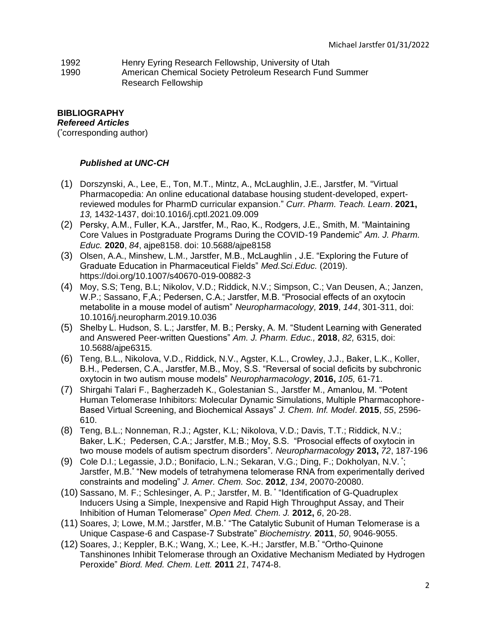- 1992 Henry Eyring Research Fellowship, University of Utah
- 1990 American Chemical Society Petroleum Research Fund Summer Research Fellowship

# **BIBLIOGRAPHY**

*Refereed Articles*

( \*corresponding author)

# *Published at UNC-CH*

- (1) Dorszynski, A., Lee, E., Ton, M.T., Mintz, A., McLaughlin, J.E., Jarstfer, M. "Virtual Pharmacopedia: An online educational database housing student-developed, expertreviewed modules for PharmD curricular expansion." *Curr. Pharm. Teach. Learn*. **2021,**  *13,* 1432-1437, doi:10.1016/j.cptl.2021.09.009
- (2) Persky, A.M., Fuller, K.A., Jarstfer, M., Rao, K., Rodgers, J.E., Smith, M. "Maintaining Core Values in Postgraduate Programs During the COVID-19 Pandemic" *Am. J. Pharm. Educ.* **2020**, *84*, ajpe8158. doi: 10.5688/ajpe8158
- (3) Olsen, A.A., Minshew, L.M., Jarstfer, M.B., McLaughlin , J.E. "Exploring the Future of Graduate Education in Pharmaceutical Fields" *Med.Sci.Educ.* (2019). https://doi.org/10.1007/s40670-019-00882-3
- (4) Moy, S.S; Teng, B.L; Nikolov, V.D.; Riddick, N.V.; Simpson, C.; Van Deusen, A.; Janzen, W.P.; Sassano, F,A.; Pedersen, C.A.; Jarstfer, M.B. "Prosocial effects of an oxytocin metabolite in a mouse model of autism" *Neuropharmacology,* **2019**, *144*, 301-311, doi: 10.1016/j.neuropharm.2019.10.036
- (5) Shelby L. Hudson, S. L.; Jarstfer, M. B.; Persky, A. M. "Student Learning with Generated and Answered Peer-written Questions" *Am. J. Pharm. Educ.,* **2018**, *82,* 6315, doi: 10.5688/ajpe6315*.*
- (6) Teng, B.L., Nikolova, V.D., Riddick, N.V., Agster, K.L., Crowley, J.J., Baker, L.K., Koller, B.H., Pedersen, C.A., Jarstfer, M.B., Moy, S.S. "Reversal of social deficits by subchronic oxytocin in two autism mouse models" *Neuropharmacology*, **2016,** *105,* 61-71.
- (7) Shirgahi Talari F., Bagherzadeh K., Golestanian S., Jarstfer M., Amanlou, M. "Potent Human Telomerase Inhibitors: Molecular Dynamic Simulations, Multiple Pharmacophore-Based Virtual Screening, and Biochemical Assays" *J. Chem. Inf. Model*. **2015**, *55*, 2596- 610.
- (8) Teng, B.L.; Nonneman, R.J.; Agster, K.L; Nikolova, V.D.; Davis, T.T.; Riddick, N.V.; Baker, L.K.; Pedersen, C.A.; Jarstfer, M.B.; Moy, S.S. "Prosocial effects of oxytocin in two mouse models of autism spectrum disorders"*. Neuropharmacology* **2013,** *72*, 187-196
- (9) Cole D.I.; Legassie, J.D.; Bonifacio, L.N.; Sekaran, V.G.; Ding, F.; Dokholyan, N.V. \* ; Jarstfer, M.B.\* "New models of tetrahymena telomerase RNA from experimentally derived constraints and modeling" *J. Amer. Chem. Soc*. **2012**, *134*, 20070-20080.
- (10) Sassano, M. F.; Schlesinger, A. P.; Jarstfer, M. B. \* "Identification of G-Quadruplex Inducers Using a Simple, Inexpensive and Rapid High Throughput Assay, and Their Inhibition of Human Telomerase" *Open Med. Chem. J.* **2012,** *6*, 20-28.
- (11) Soares, J; Lowe, M.M.; Jarstfer, M.B.\* "The Catalytic Subunit of Human Telomerase is a Unique Caspase-6 and Caspase-7 Substrate" *Biochemistry.* **2011**, *50*, 9046-9055.
- (12) Soares, J.; Keppler, B.K.; Wang, X.; Lee, K.-H.; Jarstfer, M.B.\* "Ortho-Quinone Tanshinones Inhibit Telomerase through an Oxidative Mechanism Mediated by Hydrogen Peroxide" *Biord. Med. Chem. Lett.* **2011** *21*, 7474-8.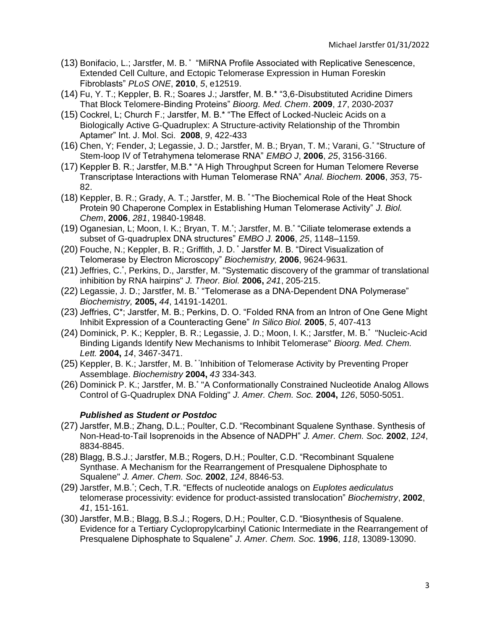- (13) Bonifacio, L.; Jarstfer, M. B. \* "MiRNA Profile Associated with Replicative Senescence, Extended Cell Culture, and Ectopic Telomerase Expression in Human Foreskin Fibroblasts" *PLoS ONE*, **2010**, *5*, e12519.
- (14) Fu, Y. T.; Keppler, B. R.; Soares J.; Jarstfer, M. B.\* "3,6-Disubstituted Acridine Dimers That Block Telomere-Binding Proteins" *Bioorg. Med. Chem*. **2009**, *17*, 2030-2037
- (15) Cockrel, L; Church F.; Jarstfer, M. B.\* "The Effect of Locked-Nucleic Acids on a Biologically Active G-Quadruplex: A Structure-activity Relationship of the Thrombin Aptamer" Int. J. Mol. Sci. **2008**, *9*, 422-433
- (16) Chen, Y; Fender, J; Legassie, J. D.; Jarstfer, M. B.; Bryan, T. M.; Varani, G.\* "Structure of Stem-loop IV of Tetrahymena telomerase RNA" *EMBO J*, **2006**, *25*, 3156-3166.
- (17) Keppler B. R.; Jarstfer, M.B.\* "A High Throughput Screen for Human Telomere Reverse Transcriptase Interactions with Human Telomerase RNA" *Anal. Biochem.* **2006**, *353*, 75- 82.
- (18) Keppler, B. R.; Grady, A. T.; Jarstfer, M. B. \* "The Biochemical Role of the Heat Shock Protein 90 Chaperone Complex in Establishing Human Telomerase Activity" *J. Biol. Chem*, **2006**, *281*, 19840-19848.
- (19) Oganesian, L; Moon, I. K.; Bryan, T. M.\* ; Jarstfer, M. B.\* "Ciliate telomerase extends a subset of G-quadruplex DNA structures" *EMBO J.* **2006**, *25*, 1148–1159*.*
- (20) Fouche, N.; Keppler, B. R.; Griffith, J. D. \* Jarstfer M. B. "Direct Visualization of Telomerase by Electron Microscopy" *Biochemistry,* **2006**, 9624-9631*.*
- (21) Jeffries, C.\* , Perkins, D., Jarstfer, M. "Systematic discovery of the grammar of translational inhibition by RNA hairpins" *J. Theor. Biol.* **2006,** *241*, 205-215.
- (22) Legassie, J. D.; Jarstfer, M. B.\* "Telomerase as a DNA-Dependent DNA Polymerase" *Biochemistry,* **2005,** *44*, 14191-14201*.*
- (23) Jeffries, C\*; Jarstfer, M. B.; Perkins, D. O. "Folded RNA from an Intron of One Gene Might Inhibit Expression of a Counteracting Gene" *In Silico Biol.* **2005**, *5*, 407-413
- (24) Dominick, P. K.; Keppler, B. R.; Legassie, J. D.; Moon, I. K.; Jarstfer, M. B.\* "Nucleic-Acid Binding Ligands Identify New Mechanisms to Inhibit Telomerase" *Bioorg. Med. Chem. Lett.* **2004,** *14*, 3467-3471.
- (25) Keppler, B. K.; Jarstfer, M. B. \* "Inhibition of Telomerase Activity by Preventing Proper Assemblage. *Biochemistry* **2004,** *43* 334-343*.*
- (26) Dominick P. K.; Jarstfer, M. B.\* "A Conformationally Constrained Nucleotide Analog Allows Control of G-Quadruplex DNA Folding" *J. Amer. Chem. Soc.* **2004,** *126*, 5050-5051.

## *Published as Student or Postdoc*

- (27) Jarstfer, M.B.; Zhang, D.L.; Poulter, C.D. "Recombinant Squalene Synthase. Synthesis of Non-Head-to-Tail Isoprenoids in the Absence of NADPH" *J. Amer. Chem. Soc.* **2002**, *124*, 8834-8845.
- (28) Blagg, B.S.J.; Jarstfer, M.B.; Rogers, D.H.; Poulter, C.D. "Recombinant Squalene Synthase. A Mechanism for the Rearrangement of Presqualene Diphosphate to Squalene" *J. Amer. Chem. Soc.* **2002**, *124*, 8846-53.
- (29) Jarstfer, M.B.\* ; Cech, T.R. "Effects of nucleotide analogs on *Euplotes aediculatus* telomerase processivity: evidence for product-assisted translocation" *Biochemistry*, **2002**, *41*, 151-161*.*
- (30) Jarstfer, M.B.; Blagg, B.S.J.; Rogers, D.H.; Poulter, C.D. "Biosynthesis of Squalene. Evidence for a Tertiary Cyclopropylcarbinyl Cationic Intermediate in the Rearrangement of Presqualene Diphosphate to Squalene" *J. Amer. Chem. Soc.* **1996**, *118*, 13089-13090.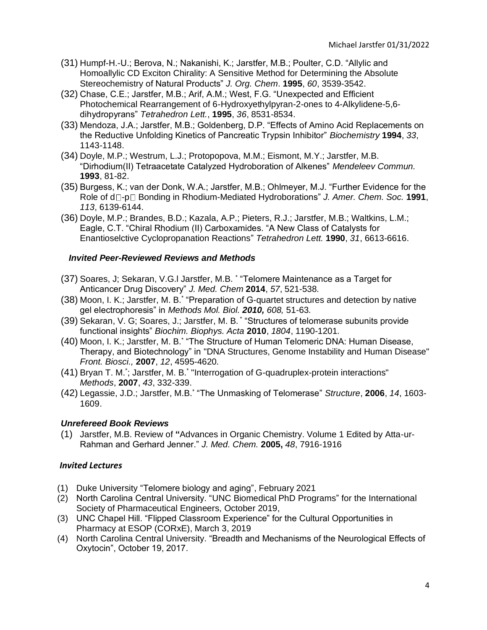- (31) Humpf-H.-U.; Berova, N.; Nakanishi, K.; Jarstfer, M.B.; Poulter, C.D. "Allylic and Homoallylic CD Exciton Chirality: A Sensitive Method for Determining the Absolute Stereochemistry of Natural Products" *J. Org. Chem*. **1995**, *60*, 3539-3542.
- (32) Chase, C.E.; Jarstfer, M.B.; Arif, A.M.; West, F.G. "Unexpected and Efficient Photochemical Rearrangement of 6-Hydroxyethylpyran-2-ones to 4-Alkylidene-5,6 dihydropyrans" *Tetrahedron Lett.*, **1995**, *36*, 8531-8534.
- (33) Mendoza, J.A.; Jarstfer, M.B.; Goldenberg, D.P. "Effects of Amino Acid Replacements on the Reductive Unfolding Kinetics of Pancreatic Trypsin Inhibitor" *Biochemistry* **1994**, *33*, 1143-1148.
- (34) Doyle, M.P.; Westrum, L.J.; Protopopova, M.M.; Eismont, M.Y.; Jarstfer, M.B. "Dirhodium(II) Tetraacetate Catalyzed Hydroboration of Alkenes" *Mendeleev Commun.*  **1993**, 81-82.
- (35) Burgess, K.; van der Donk, W.A.; Jarstfer, M.B.; Ohlmeyer, M.J. "Further Evidence for the Role of  $d \Box$ -p $\Box$  Bonding in Rhodium-Mediated Hydroborations" *J. Amer. Chem. Soc.* **1991**, *113*, 6139-6144.
- (36) Doyle, M.P.; Brandes, B.D.; Kazala, A.P.; Pieters, R.J.; Jarstfer, M.B.; Waltkins, L.M.; Eagle, C.T. "Chiral Rhodium (II) Carboxamides. "A New Class of Catalysts for Enantioselctive Cyclopropanation Reactions" *Tetrahedron Lett.* **1990**, *31*, 6613-6616.

# *Invited Peer-Reviewed Reviews and Methods*

- (37) Soares, J; Sekaran, V.G.l Jarstfer, M.B. \* "Telomere Maintenance as a Target for Anticancer Drug Discovery" *J. Med. Chem* **2014**, *57*, 521-538*.*
- (38) Moon, I. K.; Jarstfer, M. B.\* "Preparation of G-quartet structures and detection by native gel electrophoresis" in *Methods Mol. Biol. 2010, 608,* 51-63*.*
- (39) Sekaran, V. G; Soares, J.; Jarstfer, M. B. \* "Structures of telomerase subunits provide functional insights" *Biochim. Biophys. Acta* **2010**, *1804*, 1190-1201*.*
- (40) Moon, I. K.; Jarstfer, M. B.\* "The Structure of Human Telomeric DNA: Human Disease, Therapy, and Biotechnology" in "DNA Structures, Genome Instability and Human Disease" *Front. Biosci.,* **2007**, *12*, 4595-4620*.*
- (41) Bryan T. M.'; Jarstfer, M. B.' "Interrogation of G-quadruplex-protein interactions" *Methods*, **2007**, *43*, 332-339.
- (42) Legassie, J.D.; Jarstfer, M.B.\* "The Unmasking of Telomerase" *Structure*, **2006**, *14*, 1603- 1609.

## *Unrefereed Book Reviews*

(1) Jarstfer, M.B. Review of **"**Advances in Organic Chemistry. Volume 1 Edited by Atta-ur-Rahman and Gerhard Jenner." *J. Med. Chem.* **2005,** *48*, 7916-1916

# *Invited Lectures*

- (1) Duke University "Telomere biology and aging", February 2021
- (2) North Carolina Central University. "UNC Biomedical PhD Programs" for the International Society of Pharmaceutical Engineers, October 2019,
- (3) UNC Chapel Hill. "Flipped Classroom Experience" for the Cultural Opportunities in Pharmacy at ESOP (CORxE), March 3, 2019
- (4) North Carolina Central University. "Breadth and Mechanisms of the Neurological Effects of Oxytocin", October 19, 2017.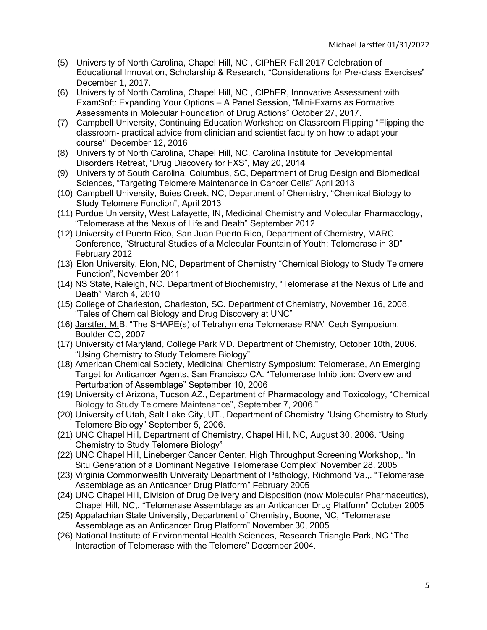- (5) University of North Carolina, Chapel Hill, NC , CIPhER Fall 2017 Celebration of Educational Innovation, Scholarship & Research, "Considerations for Pre-class Exercises" December 1, 2017.
- (6) University of North Carolina, Chapel Hill, NC , CIPhER, Innovative Assessment with ExamSoft: Expanding Your Options – A Panel Session, "Mini-Exams as Formative Assessments in Molecular Foundation of Drug Actions" October 27, 2017.
- (7) Campbell University, Continuing Education Workshop on Classroom Flipping "Flipping the classroom- practical advice from clinician and scientist faculty on how to adapt your course" December 12, 2016
- (8) University of North Carolina, Chapel Hill, NC, Carolina Institute for Developmental Disorders Retreat, "Drug Discovery for FXS", May 20, 2014
- (9) University of South Carolina, Columbus, SC, Department of Drug Design and Biomedical Sciences, "Targeting Telomere Maintenance in Cancer Cells" April 2013
- (10) Campbell University, Buies Creek, NC, Department of Chemistry, "Chemical Biology to Study Telomere Function", April 2013
- (11) Purdue University, West Lafayette, IN, Medicinal Chemistry and Molecular Pharmacology, "Telomerase at the Nexus of Life and Death" September 2012
- (12) University of Puerto Rico, San Juan Puerto Rico, Department of Chemistry, MARC Conference, "Structural Studies of a Molecular Fountain of Youth: Telomerase in 3D" February 2012
- (13) Elon University, Elon, NC, Department of Chemistry "Chemical Biology to Study Telomere Function", November 2011
- (14) NS State, Raleigh, NC. Department of Biochemistry, "Telomerase at the Nexus of Life and Death" March 4, 2010
- (15) College of Charleston, Charleston, SC. Department of Chemistry, November 16, 2008. "Tales of Chemical Biology and Drug Discovery at UNC"
- (16) Jarstfer, M.B. "The SHAPE(s) of Tetrahymena Telomerase RNA" Cech Symposium, Boulder CO, 2007
- (17) University of Maryland, College Park MD. Department of Chemistry, October 10th, 2006. "Using Chemistry to Study Telomere Biology"
- (18) American Chemical Society, Medicinal Chemistry Symposium: Telomerase, An Emerging Target for Anticancer Agents, San Francisco CA. "Telomerase Inhibition: Overview and Perturbation of Assemblage" September 10, 2006
- (19) University of Arizona, Tucson AZ., Department of Pharmacology and Toxicology, "Chemical Biology to Study Telomere Maintenance", September 7, 2006."
- (20) University of Utah, Salt Lake City, UT., Department of Chemistry "Using Chemistry to Study Telomere Biology" September 5, 2006.
- (21) UNC Chapel Hill, Department of Chemistry, Chapel Hill, NC, August 30, 2006. "Using Chemistry to Study Telomere Biology"
- (22) UNC Chapel Hill, Lineberger Cancer Center, High Throughput Screening Workshop,. "In Situ Generation of a Dominant Negative Telomerase Complex" November 28, 2005
- (23) Virginia Commonwealth University Department of Pathology, Richmond Va.,. "Telomerase Assemblage as an Anticancer Drug Platform" February 2005
- (24) UNC Chapel Hill, Division of Drug Delivery and Disposition (now Molecular Pharmaceutics), Chapel Hill, NC,. "Telomerase Assemblage as an Anticancer Drug Platform" October 2005
- (25) Appalachian State University, Department of Chemistry, Boone, NC, "Telomerase Assemblage as an Anticancer Drug Platform" November 30, 2005
- (26) National Institute of Environmental Health Sciences, Research Triangle Park, NC "The Interaction of Telomerase with the Telomere" December 2004.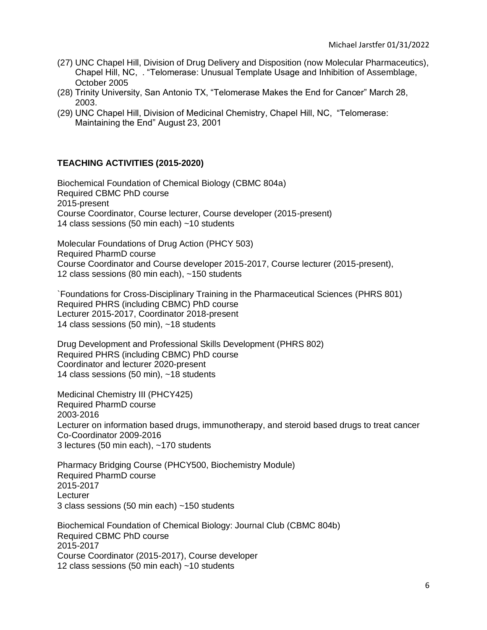- (27) UNC Chapel Hill, Division of Drug Delivery and Disposition (now Molecular Pharmaceutics), Chapel Hill, NC, . "Telomerase: Unusual Template Usage and Inhibition of Assemblage, October 2005
- (28) Trinity University, San Antonio TX, "Telomerase Makes the End for Cancer" March 28, 2003.
- (29) UNC Chapel Hill, Division of Medicinal Chemistry, Chapel Hill, NC, "Telomerase: Maintaining the End" August 23, 2001

# **TEACHING ACTIVITIES (2015-2020)**

Biochemical Foundation of Chemical Biology (CBMC 804a) Required CBMC PhD course 2015-present Course Coordinator, Course lecturer, Course developer (2015-present) 14 class sessions (50 min each) ~10 students

Molecular Foundations of Drug Action (PHCY 503) Required PharmD course Course Coordinator and Course developer 2015-2017, Course lecturer (2015-present), 12 class sessions (80 min each), ~150 students

`Foundations for Cross-Disciplinary Training in the Pharmaceutical Sciences (PHRS 801) Required PHRS (including CBMC) PhD course Lecturer 2015-2017, Coordinator 2018-present 14 class sessions (50 min), ~18 students

Drug Development and Professional Skills Development (PHRS 802) Required PHRS (including CBMC) PhD course Coordinator and lecturer 2020-present 14 class sessions (50 min), ~18 students

Medicinal Chemistry III (PHCY425) Required PharmD course 2003‐2016 Lecturer on information based drugs, immunotherapy, and steroid based drugs to treat cancer Co-Coordinator 2009-2016 3 lectures (50 min each), ~170 students

Pharmacy Bridging Course (PHCY500, Biochemistry Module) Required PharmD course 2015-2017 **Lecturer** 3 class sessions (50 min each) ~150 students

Biochemical Foundation of Chemical Biology: Journal Club (CBMC 804b) Required CBMC PhD course 2015-2017 Course Coordinator (2015-2017), Course developer 12 class sessions (50 min each) ~10 students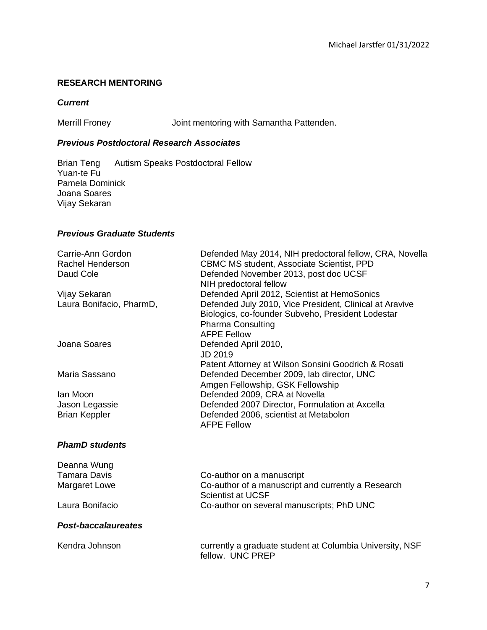# **RESEARCH MENTORING**

## *Current*

Merrill Froney Joint mentoring with Samantha Pattenden.

# *Previous Postdoctoral Research Associates*

Brian Teng Autism Speaks Postdoctoral Fellow Yuan-te Fu Pamela Dominick Joana Soares Vijay Sekaran

# *Previous Graduate Students*

| Carrie-Ann Gordon          | Defended May 2014, NIH predoctoral fellow, CRA, Novella                      |
|----------------------------|------------------------------------------------------------------------------|
| <b>Rachel Henderson</b>    | <b>CBMC MS student, Associate Scientist, PPD</b>                             |
| Daud Cole                  | Defended November 2013, post doc UCSF                                        |
|                            | NIH predoctoral fellow                                                       |
| Vijay Sekaran              | Defended April 2012, Scientist at HemoSonics                                 |
| Laura Bonifacio, PharmD,   | Defended July 2010, Vice President, Clinical at Aravive                      |
|                            | Biologics, co-founder Subveho, President Lodestar                            |
|                            | <b>Pharma Consulting</b>                                                     |
|                            | <b>AFPE Fellow</b>                                                           |
| Joana Soares               | Defended April 2010,                                                         |
|                            | JD 2019                                                                      |
|                            | Patent Attorney at Wilson Sonsini Goodrich & Rosati                          |
| Maria Sassano              | Defended December 2009, lab director, UNC                                    |
|                            | Amgen Fellowship, GSK Fellowship                                             |
| Jan Moon                   | Defended 2009, CRA at Novella                                                |
| Jason Legassie             | Defended 2007 Director, Formulation at Axcella                               |
| <b>Brian Keppler</b>       | Defended 2006, scientist at Metabolon                                        |
|                            | <b>AFPE Fellow</b>                                                           |
|                            |                                                                              |
| <b>PhamD students</b>      |                                                                              |
|                            |                                                                              |
| Deanna Wung                |                                                                              |
| <b>Tamara Davis</b>        | Co-author on a manuscript                                                    |
| <b>Margaret Lowe</b>       | Co-author of a manuscript and currently a Research                           |
|                            | <b>Scientist at UCSF</b>                                                     |
| Laura Bonifacio            | Co-author on several manuscripts; PhD UNC                                    |
| <b>Post-baccalaureates</b> |                                                                              |
|                            |                                                                              |
| Kendra Johnson             | currently a graduate student at Columbia University, NSF<br>fellow. UNC PREP |
|                            |                                                                              |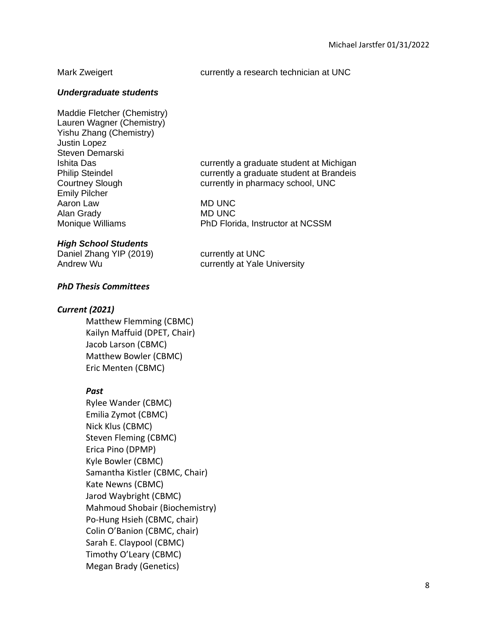## Mark Zweigert **currently a research technician at UNC**

## *Undergraduate students*

Maddie Fletcher (Chemistry) Lauren Wagner (Chemistry) Yishu Zhang (Chemistry) Justin Lopez Steven Demarski Ishita Das currently a graduate student at Michigan Philip Steindel **Calculate** currently a graduate student at Brandeis Courtney Slough currently in pharmacy school, UNC Emily Pilcher Aaron Law MD UNC Alan Grady MD UNC Monique Williams PhD Florida, Instructor at NCSSM

## *High School Students*

Daniel Zhang YIP (2019) currently at UNC Andrew Wu currently at Yale University

## *PhD Thesis Committees*

## *Current (2021)*

Matthew Flemming (CBMC) Kailyn Maffuid (DPET, Chair) Jacob Larson (CBMC) Matthew Bowler (CBMC) Eric Menten (CBMC)

## *Past*

Rylee Wander (CBMC) Emilia Zymot (CBMC) Nick Klus (CBMC) Steven Fleming (CBMC) Erica Pino (DPMP) Kyle Bowler (CBMC) Samantha Kistler (CBMC, Chair) Kate Newns (CBMC) Jarod Waybright (CBMC) Mahmoud Shobair (Biochemistry) Po-Hung Hsieh (CBMC, chair) Colin O'Banion (CBMC, chair) Sarah E. Claypool (CBMC) Timothy O'Leary (CBMC) Megan Brady (Genetics)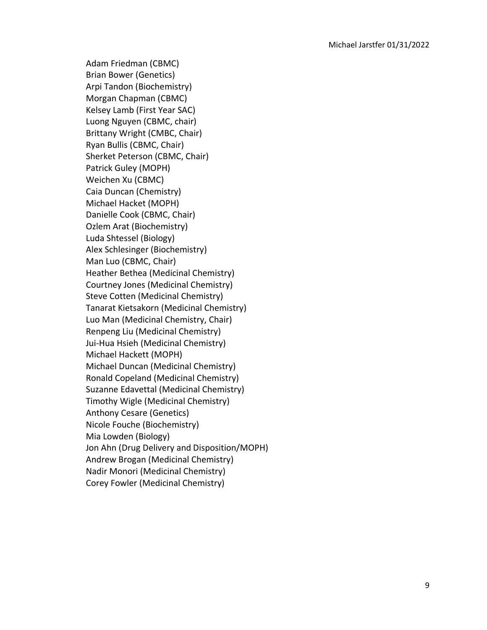Adam Friedman (CBMC) Brian Bower (Genetics) Arpi Tandon (Biochemistry) Morgan Chapman (CBMC) Kelsey Lamb (First Year SAC) Luong Nguyen (CBMC, chair) Brittany Wright (CMBC, Chair) Ryan Bullis (CBMC, Chair) Sherket Peterson (CBMC, Chair) Patrick Guley (MOPH) Weichen Xu (CBMC) Caia Duncan (Chemistry) Michael Hacket (MOPH) Danielle Cook (CBMC, Chair) Ozlem Arat (Biochemistry) Luda Shtessel (Biology) Alex Schlesinger (Biochemistry) Man Luo (CBMC, Chair) Heather Bethea (Medicinal Chemistry) Courtney Jones (Medicinal Chemistry) Steve Cotten (Medicinal Chemistry) Tanarat Kietsakorn (Medicinal Chemistry) Luo Man (Medicinal Chemistry, Chair) Renpeng Liu (Medicinal Chemistry) Jui-Hua Hsieh (Medicinal Chemistry) Michael Hackett (MOPH) Michael Duncan (Medicinal Chemistry) Ronald Copeland (Medicinal Chemistry) Suzanne Edavettal (Medicinal Chemistry) Timothy Wigle (Medicinal Chemistry) Anthony Cesare (Genetics) Nicole Fouche (Biochemistry) Mia Lowden (Biology) Jon Ahn (Drug Delivery and Disposition/MOPH) Andrew Brogan (Medicinal Chemistry) Nadir Monori (Medicinal Chemistry) Corey Fowler (Medicinal Chemistry)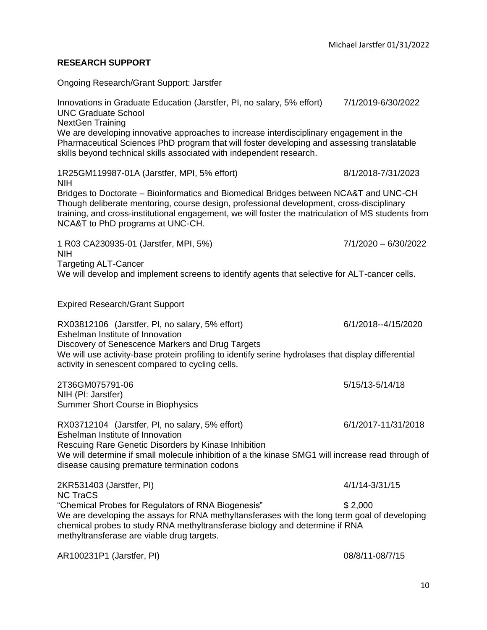## **RESEARCH SUPPORT**

Ongoing Research/Grant Support: Jarstfer

Innovations in Graduate Education (Jarstfer, PI, no salary, 5% effort) 7/1/2019-6/30/2022 UNC Graduate School NextGen Training We are developing innovative approaches to increase interdisciplinary engagement in the Pharmaceutical Sciences PhD program that will foster developing and assessing translatable skills beyond technical skills associated with independent research. 1R25GM119987-01A (Jarstfer, MPI, 5% effort) 8/1/2018-7/31/2023 NIH Bridges to Doctorate – Bioinformatics and Biomedical Bridges between NCA&T and UNC-CH Though deliberate mentoring, course design, professional development, cross-disciplinary training, and cross-institutional engagement, we will foster the matriculation of MS students from NCA&T to PhD programs at UNC-CH. 1 R03 CA230935-01 (Jarstfer, MPI, 5%) 7/1/2020 – 6/30/2022 NIH Targeting ALT-Cancer We will develop and implement screens to identify agents that selective for ALT-cancer cells. Expired Research/Grant Support RX03812106 (Jarstfer, PI, no salary, 5% effort) 6/1/2018--4/15/2020 Eshelman Institute of Innovation Discovery of Senescence Markers and Drug Targets We will use activity-base protein profiling to identify serine hydrolases that display differential activity in senescent compared to cycling cells. 2T36GM075791-06 5/15/13-5/14/18 NIH (PI: Jarstfer) Summer Short Course in Biophysics RX03712104 (Jarstfer, PI, no salary, 5% effort) 6/1/2017-11/31/2018 Eshelman Institute of Innovation Rescuing Rare Genetic Disorders by Kinase Inhibition We will determine if small molecule inhibition of a the kinase SMG1 will increase read through of disease causing premature termination codons 2KR531403 (Jarstfer, PI) 4/1/14-3/31/15 NC TraCS "Chemical Probes for Regulators of RNA Biogenesis" \$ 2,000 We are developing the assays for RNA methyltansferases with the long term goal of developing chemical probes to study RNA methyltransferase biology and determine if RNA methyltransferase are viable drug targets. AR100231P1 (Jarstfer, PI) 08/8/11-08/7/15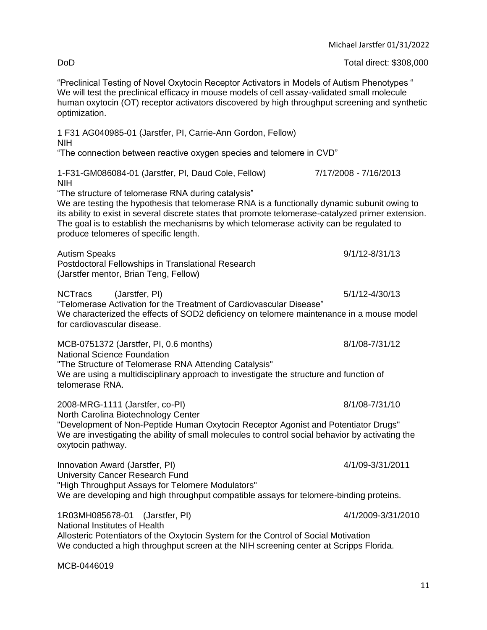|                                                                                                                                                                                                                                                                                                                                                                                                | Michael Jarstfer 01/31/2022 |
|------------------------------------------------------------------------------------------------------------------------------------------------------------------------------------------------------------------------------------------------------------------------------------------------------------------------------------------------------------------------------------------------|-----------------------------|
| DoD                                                                                                                                                                                                                                                                                                                                                                                            | Total direct: \$308,000     |
| "Preclinical Testing of Novel Oxytocin Receptor Activators in Models of Autism Phenotypes "<br>We will test the preclinical efficacy in mouse models of cell assay-validated small molecule<br>human oxytocin (OT) receptor activators discovered by high throughput screening and synthetic<br>optimization.                                                                                  |                             |
| 1 F31 AG040985-01 (Jarstfer, PI, Carrie-Ann Gordon, Fellow)<br><b>NIH</b>                                                                                                                                                                                                                                                                                                                      |                             |
| "The connection between reactive oxygen species and telomere in CVD"                                                                                                                                                                                                                                                                                                                           |                             |
| 1-F31-GM086084-01 (Jarstfer, PI, Daud Cole, Fellow)<br><b>NIH</b>                                                                                                                                                                                                                                                                                                                              | 7/17/2008 - 7/16/2013       |
| "The structure of telomerase RNA during catalysis"<br>We are testing the hypothesis that telomerase RNA is a functionally dynamic subunit owing to<br>its ability to exist in several discrete states that promote telomerase-catalyzed primer extension.<br>The goal is to establish the mechanisms by which telomerase activity can be regulated to<br>produce telomeres of specific length. |                             |
| <b>Autism Speaks</b><br>Postdoctoral Fellowships in Translational Research<br>(Jarstfer mentor, Brian Teng, Fellow)                                                                                                                                                                                                                                                                            | $9/1/12 - 8/31/13$          |
| (Jarstfer, PI)<br><b>NCTracs</b><br>"Telomerase Activation for the Treatment of Cardiovascular Disease"<br>We characterized the effects of SOD2 deficiency on telomere maintenance in a mouse model<br>for cardiovascular disease.                                                                                                                                                             | 5/1/12-4/30/13              |
| MCB-0751372 (Jarstfer, PI, 0.6 months)                                                                                                                                                                                                                                                                                                                                                         | 8/1/08-7/31/12              |
| <b>National Science Foundation</b><br>"The Structure of Telomerase RNA Attending Catalysis"<br>We are using a multidisciplinary approach to investigate the structure and function of<br>telomerase RNA.                                                                                                                                                                                       |                             |
| 2008-MRG-1111 (Jarstfer, co-PI)<br>North Carolina Biotechnology Center<br>"Development of Non-Peptide Human Oxytocin Receptor Agonist and Potentiator Drugs"<br>We are investigating the ability of small molecules to control social behavior by activating the<br>oxytocin pathway.                                                                                                          | 8/1/08-7/31/10              |
| Innovation Award (Jarstfer, PI)<br><b>University Cancer Research Fund</b><br>"High Throughput Assays for Telomere Modulators"<br>We are developing and high throughput compatible assays for telomere-binding proteins.                                                                                                                                                                        | 4/1/09-3/31/2011            |
| 1R03MH085678-01<br>(Jarstfer, PI)<br>National Institutes of Health<br>Allosteric Potentiators of the Oxytocin System for the Control of Social Motivation                                                                                                                                                                                                                                      | 4/1/2009-3/31/2010          |

We conducted a high throughput screen at the NIH screening center at Scripps Florida.

MCB-0446019

11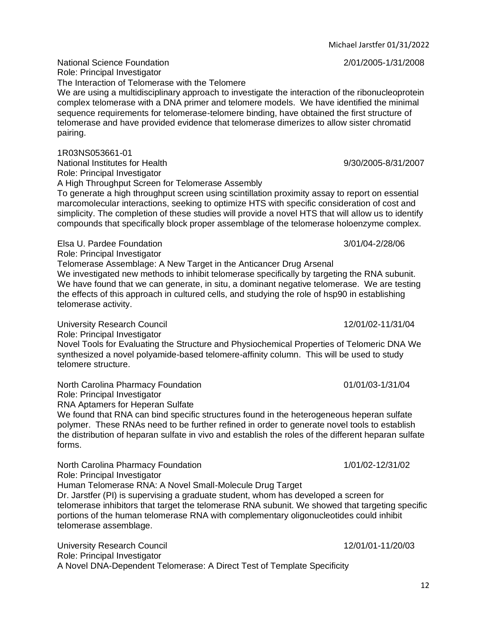Michael Jarstfer 01/31/2022

National Science Foundation 2/01/2005-1/31/2008

Role: Principal Investigator The Interaction of Telomerase with the Telomere We are using a multidisciplinary approach to investigate the interaction of the ribonucleoprotein complex telomerase with a DNA primer and telomere models. We have identified the minimal sequence requirements for telomerase-telomere binding, have obtained the first structure of telomerase and have provided evidence that telomerase dimerizes to allow sister chromatid pairing.

1R03NS053661-01

National Institutes for Health 9/30/2005-8/31/2007 Role: Principal Investigator

A High Throughput Screen for Telomerase Assembly

To generate a high throughput screen using scintillation proximity assay to report on essential marcomolecular interactions, seeking to optimize HTS with specific consideration of cost and simplicity. The completion of these studies will provide a novel HTS that will allow us to identify compounds that specifically block proper assemblage of the telomerase holoenzyme complex.

Elsa U. Pardee Foundation 3/01/04-2/28/06

Role: Principal Investigator

Telomerase Assemblage: A New Target in the Anticancer Drug Arsenal

We investigated new methods to inhibit telomerase specifically by targeting the RNA subunit. We have found that we can generate, in situ, a dominant negative telomerase. We are testing the effects of this approach in cultured cells, and studying the role of hsp90 in establishing telomerase activity.

University Research Council **12/01/02-11/31/04** Role: Principal Investigator Novel Tools for Evaluating the Structure and Physiochemical Properties of Telomeric DNA We synthesized a novel polyamide-based telomere-affinity column. This will be used to study telomere structure.

North Carolina Pharmacy Foundation  $01/01/03-1/31/04$ 

Role: Principal Investigator

RNA Aptamers for Heperan Sulfate

We found that RNA can bind specific structures found in the heterogeneous heperan sulfate polymer. These RNAs need to be further refined in order to generate novel tools to establish the distribution of heparan sulfate in vivo and establish the roles of the different heparan sulfate forms.

North Carolina Pharmacy Foundation 1/01/02-12/31/02 Role: Principal Investigator Human Telomerase RNA: A Novel Small-Molecule Drug Target Dr. Jarstfer (PI) is supervising a graduate student, whom has developed a screen for telomerase inhibitors that target the telomerase RNA subunit. We showed that targeting specific portions of the human telomerase RNA with complementary oligonucleotides could inhibit telomerase assemblage.

University Research Council **12/01/01-11/20/03** Role: Principal Investigator A Novel DNA-Dependent Telomerase: A Direct Test of Template Specificity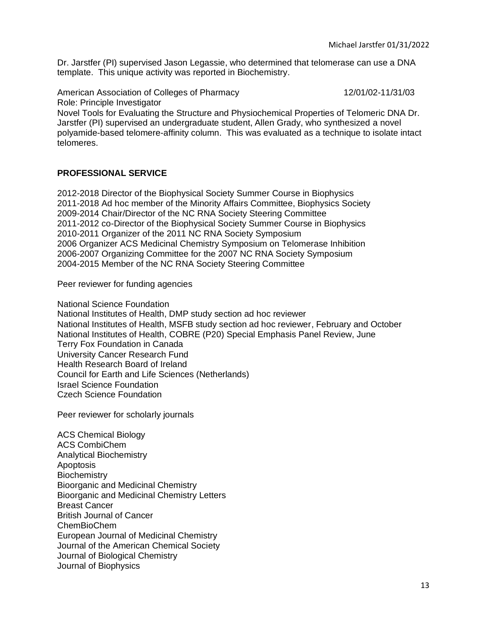Dr. Jarstfer (PI) supervised Jason Legassie, who determined that telomerase can use a DNA template. This unique activity was reported in Biochemistry.

American Association of Colleges of Pharmacy 12/01/02-11/31/03

Role: Principle Investigator

Novel Tools for Evaluating the Structure and Physiochemical Properties of Telomeric DNA Dr. Jarstfer (PI) supervised an undergraduate student, Allen Grady, who synthesized a novel polyamide-based telomere-affinity column. This was evaluated as a technique to isolate intact telomeres.

# **PROFESSIONAL SERVICE**

2012-2018 Director of the Biophysical Society Summer Course in Biophysics 2011-2018 Ad hoc member of the Minority Affairs Committee, Biophysics Society 2009-2014 Chair/Director of the NC RNA Society Steering Committee 2011-2012 co-Director of the Biophysical Society Summer Course in Biophysics 2010-2011 Organizer of the 2011 NC RNA Society Symposium 2006 Organizer ACS Medicinal Chemistry Symposium on Telomerase Inhibition 2006-2007 Organizing Committee for the 2007 NC RNA Society Symposium 2004-2015 Member of the NC RNA Society Steering Committee

Peer reviewer for funding agencies

National Science Foundation

National Institutes of Health, DMP study section ad hoc reviewer National Institutes of Health, MSFB study section ad hoc reviewer, February and October National Institutes of Health, COBRE (P20) Special Emphasis Panel Review, June Terry Fox Foundation in Canada University Cancer Research Fund Health Research Board of Ireland Council for Earth and Life Sciences (Netherlands) Israel Science Foundation Czech Science Foundation

Peer reviewer for scholarly journals

ACS Chemical Biology ACS CombiChem Analytical Biochemistry Apoptosis **Biochemistry** Bioorganic and Medicinal Chemistry Bioorganic and Medicinal Chemistry Letters Breast Cancer British Journal of Cancer ChemBioChem European Journal of Medicinal Chemistry Journal of the American Chemical Society Journal of Biological Chemistry Journal of Biophysics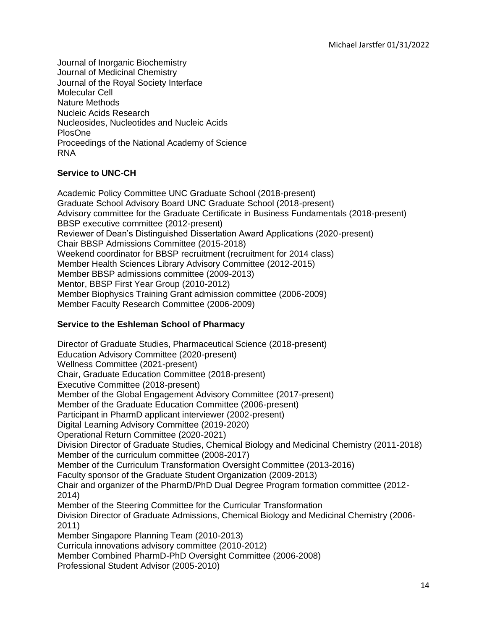Journal of Inorganic Biochemistry Journal of Medicinal Chemistry Journal of the Royal Society Interface Molecular Cell Nature Methods Nucleic Acids Research Nucleosides, Nucleotides and Nucleic Acids PlosOne Proceedings of the National Academy of Science RNA

# **Service to UNC-CH**

Academic Policy Committee UNC Graduate School (2018-present) Graduate School Advisory Board UNC Graduate School (2018-present) Advisory committee for the Graduate Certificate in Business Fundamentals (2018-present) BBSP executive committee (2012-present) Reviewer of Dean's Distinguished Dissertation Award Applications (2020-present) Chair BBSP Admissions Committee (2015-2018) Weekend coordinator for BBSP recruitment (recruitment for 2014 class) Member Health Sciences Library Advisory Committee (2012-2015) Member BBSP admissions committee (2009-2013) Mentor, BBSP First Year Group (2010-2012) Member Biophysics Training Grant admission committee (2006-2009) Member Faculty Research Committee (2006-2009)

# **Service to the Eshleman School of Pharmacy**

Director of Graduate Studies, Pharmaceutical Science (2018-present) Education Advisory Committee (2020-present) Wellness Committee (2021-present) Chair, Graduate Education Committee (2018-present) Executive Committee (2018-present) Member of the Global Engagement Advisory Committee (2017-present) Member of the Graduate Education Committee (2006-present) Participant in PharmD applicant interviewer (2002-present) Digital Learning Advisory Committee (2019-2020) Operational Return Committee (2020-2021) Division Director of Graduate Studies, Chemical Biology and Medicinal Chemistry (2011-2018) Member of the curriculum committee (2008-2017) Member of the Curriculum Transformation Oversight Committee (2013-2016) Faculty sponsor of the Graduate Student Organization (2009-2013) Chair and organizer of the PharmD/PhD Dual Degree Program formation committee (2012- 2014) Member of the Steering Committee for the Curricular Transformation Division Director of Graduate Admissions, Chemical Biology and Medicinal Chemistry (2006- 2011) Member Singapore Planning Team (2010-2013) Curricula innovations advisory committee (2010-2012) Member Combined PharmD-PhD Oversight Committee (2006-2008)

Professional Student Advisor (2005-2010)